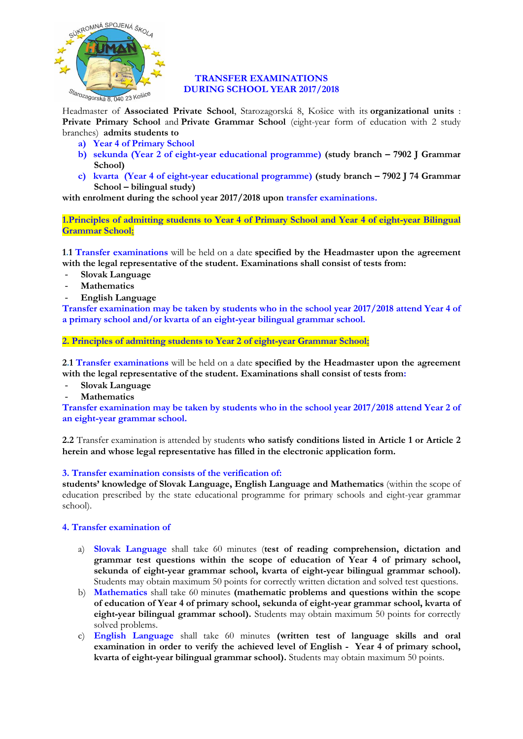

## **TRANSFER EXAMINATIONS DURING SCHOOL YEAR 2017/2018**

Headmaster of **Associated Private School**, Starozagorská 8, Košice with its **organizational units** : **Private Primary School** and **Private Grammar School** (eight-year form of education with 2 study branches) **admits students to**

- **a) Year 4 of Primary School**
- **b) sekunda (Year 2 of eight-year educational programme) (study branch – 7902 J Grammar School)**
- **c) kvarta (Year 4 of eight-year educational programme) (study branch – 7902 J 74 Grammar School – bilingual study)**

**with enrolment during the school year 2017/2018 upon transfer examinations.**

**1.Principles of admitting students to Year 4 of Primary School and Year 4 of eight-year Bilingual Grammar School:**

**1.1 Transfer examinations** will be held on a date **specified by the Headmaster upon the agreement with the legal representative of the student. Examinations shall consist of tests from:**

- **Slovak Language**
- **Mathematics**
- **English Language**

**Transfer examination may be taken by students who in the school year 2017/2018 attend Year 4 of a primary school and/or kvarta of an eight-year bilingual grammar school.**

**2. Principles of admitting students to Year 2 of eight-year Grammar School:**

**2.1 Transfer examinations** will be held on a date **specified by the Headmaster upon the agreement with the legal representative of the student. Examinations shall consist of tests from:**

- **Slovak Language**
- **Mathematics**

**Transfer examination may be taken by students who in the school year 2017/2018 attend Year 2 of an eight-year grammar school.**

**2.2** Transfer examination is attended by students **who satisfy conditions listed in Article 1 or Article 2 herein and whose legal representative has filled in the electronic application form.**

## **3. Transfer examination consists of the verification of:**

**students' knowledge of Slovak Language, English Language and Mathematics** (within the scope of education prescribed by the state educational programme for primary schools and eight-year grammar school).

## **4. Transfer examination of**

- a) **Slovak Language** shall take 60 minutes (**test of reading comprehension, dictation and grammar test questions within the scope of education of Year 4 of primary school, sekunda of eight-year grammar school, kvarta of eight-year bilingual grammar school).**  Students may obtain maximum 50 points for correctly written dictation and solved test questions.
- b) **Mathematics** shall take 60 minutes **(mathematic problems and questions within the scope of education of Year 4 of primary school, sekunda of eight-year grammar school, kvarta of eight-year bilingual grammar school).** Students may obtain maximum 50 points for correctly solved problems.
- c) **English Language** shall take 60 minutes **(written test of language skills and oral examination in order to verify the achieved level of English - Year 4 of primary school, kvarta of eight-year bilingual grammar school).** Students may obtain maximum 50 points.